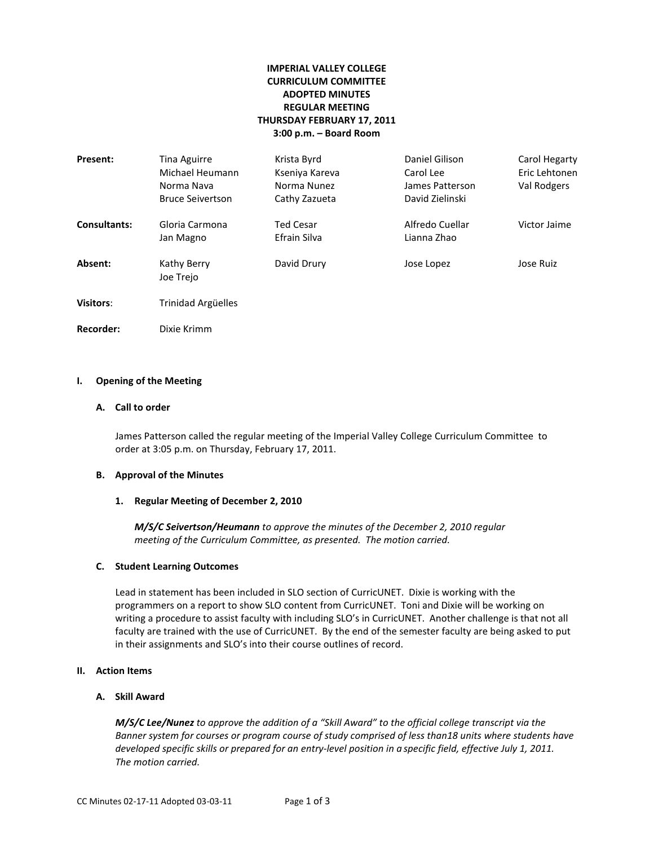# **IMPERIAL VALLEY COLLEGE CURRICULUM COMMITTEE ADOPTED MINUTES REGULAR MEETING THURSDAY FEBRUARY 17, 2011 3:00 p.m. – Board Room**

| Present:            | Tina Aguirre<br>Michael Heumann<br>Norma Nava<br><b>Bruce Seivertson</b> | Krista Byrd<br>Kseniya Kareva<br>Norma Nunez<br>Cathy Zazueta | Daniel Gilison<br>Carol Lee<br>James Patterson<br>David Zielinski | Carol Hegarty<br>Eric Lehtonen<br>Val Rodgers |
|---------------------|--------------------------------------------------------------------------|---------------------------------------------------------------|-------------------------------------------------------------------|-----------------------------------------------|
| <b>Consultants:</b> | Gloria Carmona<br>Jan Magno                                              | <b>Ted Cesar</b><br>Efrain Silva                              | Alfredo Cuellar<br>Lianna Zhao                                    | Victor Jaime                                  |
| Absent:             | Kathy Berry<br>Joe Trejo                                                 | David Drury                                                   | Jose Lopez                                                        | Jose Ruiz                                     |
| Visitors:           | Trinidad Argüelles                                                       |                                                               |                                                                   |                                               |
| Recorder:           | Dixie Krimm                                                              |                                                               |                                                                   |                                               |

### **I. Opening of the Meeting**

### **A. Call to order**

James Patterson called the regular meeting of the Imperial Valley College Curriculum Committee to order at 3:05 p.m. on Thursday, February 17, 2011.

#### **B. Approval of the Minutes**

#### **1. Regular Meeting of December 2, 2010**

*M/S/C Seivertson/Heumann to approve the minutes of the December 2, 2010 regular meeting of the Curriculum Committee, as presented. The motion carried.*

#### **C. Student Learning Outcomes**

Lead in statement has been included in SLO section of CurricUNET. Dixie is working with the programmers on a report to show SLO content from CurricUNET. Toni and Dixie will be working on writing a procedure to assist faculty with including SLO's in CurricUNET. Another challenge is that not all faculty are trained with the use of CurricUNET. By the end of the semester faculty are being asked to put in their assignments and SLO's into their course outlines of record.

# **II. Action Items**

#### **A. Skill Award**

*The motion carried. M/S/C Lee/Nunez to approve the addition of a "Skill Award" to the official college transcript via the Banner system for courses or program course of study comprised of less than18 units where students have developed specific skills or prepared for an entry-level position in a specific field, effective July 1, 2011.*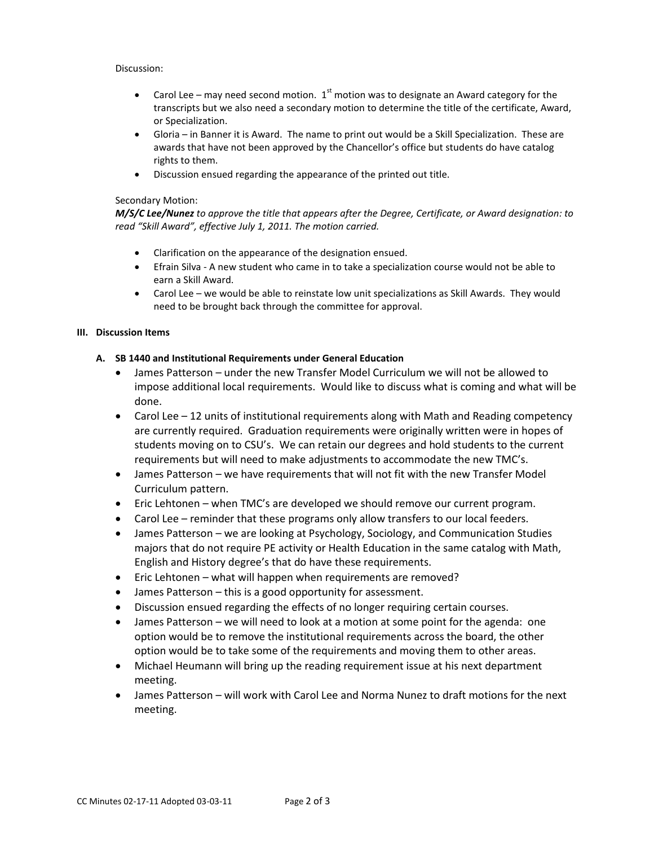# Discussion:

- Carol Lee may need second motion.  $1<sup>st</sup>$  motion was to designate an Award category for the transcripts but we also need a secondary motion to determine the title of the certificate, Award, or Specialization.
- Gloria in Banner it is Award. The name to print out would be a Skill Specialization. These are awards that have not been approved by the Chancellor's office but students do have catalog rights to them.
- Discussion ensued regarding the appearance of the printed out title.

### Secondary Motion:

*M/S/C Lee/Nunez to approve the title that appears after the Degree, Certificate, or Award designation: to read "Skill Award", effective July 1, 2011. The motion carried.*

- Clarification on the appearance of the designation ensued.
- Efrain Silva A new student who came in to take a specialization course would not be able to earn a Skill Award.
- Carol Lee – we would be able to reinstate low unit specializations as Skill Awards. They would need to be brought back through the committee for approval.

### **III. Discussion Items**

# **A. SB 1440 and Institutional Requirements under General Education**

- James Patterson under the new Transfer Model Curriculum we will not be allowed to impose additional local requirements. Would like to discuss what is coming and what will be done.
- Carol Lee 12 units of institutional requirements along with Math and Reading competency are currently required. Graduation requirements were originally written were in hopes of students moving on to CSU's. We can retain our degrees and hold students to the current requirements but will need to make adjustments to accommodate the new TMC's.
- James Patterson we have requirements that will not fit with the new Transfer Model Curriculum pattern.
- Eric Lehtonen when TMC's are developed we should remove our current program.
- Carol Lee reminder that these programs only allow transfers to our local feeders.
- James Patterson we are looking at Psychology, Sociology, and Communication Studies majors that do not require PE activity or Health Education in the same catalog with Math, English and History degree's that do have these requirements.
- Eric Lehtonen what will happen when requirements are removed?
- James Patterson this is a good opportunity for assessment.
- Discussion ensued regarding the effects of no longer requiring certain courses.
- James Patterson we will need to look at a motion at some point for the agenda: one option would be to remove the institutional requirements across the board, the other option would be to take some of the requirements and moving them to other areas.
- Michael Heumann will bring up the reading requirement issue at his next department meeting.
- James Patterson will work with Carol Lee and Norma Nunez to draft motions for the next meeting.